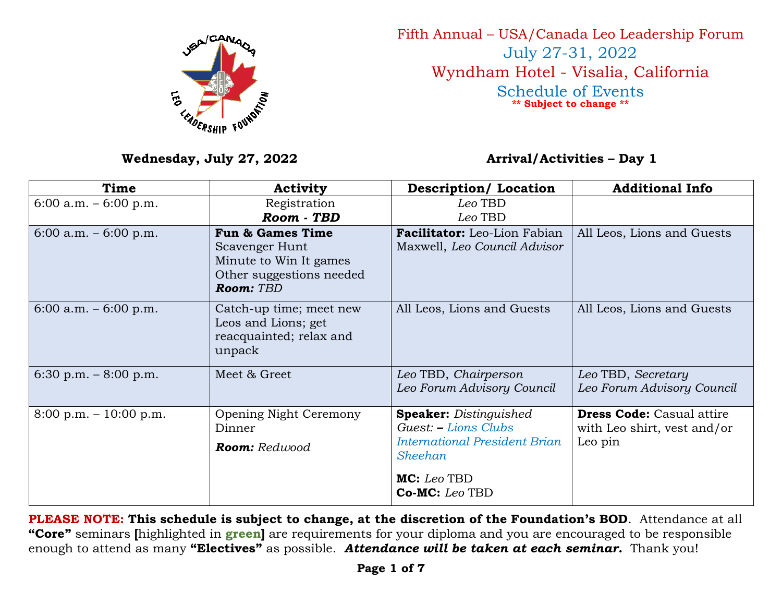

Fifth Annual – USA/Canada Leo Leadership Forum July 27-31, 2022 Wyndham Hotel - Visalia, California Schedule of Events **\*\* Subject to change \*\***

## Wednesday, July 27, 2022 **Arrival/Activities – Day 1**

| Time                                     | <b>Activity</b>                                                                                                  | <b>Description/ Location</b>                                                                                    | <b>Additional Info</b>                                                     |
|------------------------------------------|------------------------------------------------------------------------------------------------------------------|-----------------------------------------------------------------------------------------------------------------|----------------------------------------------------------------------------|
| $6:00$ a.m. $-6:00$ p.m.                 | Registration<br>Room - TBD                                                                                       | Leo TBD<br>Leo TBD                                                                                              |                                                                            |
| $6:00$ a.m. $-6:00$ p.m.                 | <b>Fun &amp; Games Time</b><br>Scavenger Hunt<br>Minute to Win It games<br>Other suggestions needed<br>Room: TBD | Facilitator: Leo-Lion Fabian<br>Maxwell, Leo Council Advisor                                                    | All Leos, Lions and Guests                                                 |
| $6:00$ a.m. $-6:00$ p.m.                 | Catch-up time; meet new<br>Leos and Lions; get<br>reacquainted; relax and<br>unpack                              | All Leos, Lions and Guests                                                                                      | All Leos, Lions and Guests                                                 |
| 6:30 p.m. $-8:00$ p.m.                   | Meet & Greet                                                                                                     | Leo TBD, Chairperson<br>Leo Forum Advisory Council                                                              | Leo TBD, Secretary<br>Leo Forum Advisory Council                           |
| $8:00 \text{ p.m.} - 10:00 \text{ p.m.}$ | Opening Night Ceremony<br>Dinner<br>Room: Redwood                                                                | <b>Speaker:</b> Distinguished<br>Guest: - Lions Clubs<br><b>International President Brian</b><br><b>Sheehan</b> | <b>Dress Code:</b> Casual attire<br>with Leo shirt, vest and/or<br>Leo pin |
|                                          |                                                                                                                  | MC: Leo TBD<br>Co-MC: Leo TBD                                                                                   |                                                                            |

**PLEASE NOTE: This schedule is subject to change, at the discretion of the Foundation's BOD**. Attendance at all **"Core"** seminars **[**highlighted in **green]** are requirements for your diploma and you are encouraged to be responsible enough to attend as many **"Electives"** as possible. *Attendance will be taken at each seminar.* Thank you!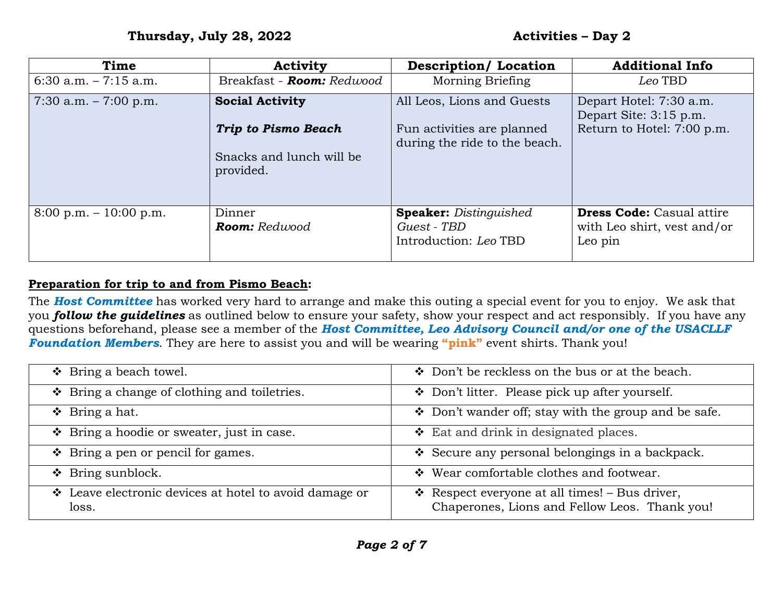| Time                                     | <b>Activity</b>                       | <b>Description/Location</b>                                           | <b>Additional Info</b>                                                     |
|------------------------------------------|---------------------------------------|-----------------------------------------------------------------------|----------------------------------------------------------------------------|
| 6:30 a.m. $-7:15$ a.m.                   | Breakfast - <b>Room:</b> Redwood      | Morning Briefing                                                      | Leo TBD                                                                    |
| 7:30 a.m. $-7:00$ p.m.                   | <b>Social Activity</b>                | All Leos, Lions and Guests                                            | Depart Hotel: 7:30 a.m.<br>Depart Site: 3:15 p.m.                          |
|                                          | <b>Trip to Pismo Beach</b>            | Fun activities are planned<br>during the ride to the beach.           | Return to Hotel: 7:00 p.m.                                                 |
|                                          | Snacks and lunch will be<br>provided. |                                                                       |                                                                            |
| $8:00 \text{ p.m.} - 10:00 \text{ p.m.}$ | Dinner<br><b>Room:</b> Redwood        | <b>Speaker:</b> Distinguished<br>Guest - TBD<br>Introduction: Leo TBD | <b>Dress Code:</b> Casual attire<br>with Leo shirt, vest and/or<br>Leo pin |

## **Preparation for trip to and from Pismo Beach:**

The *Host Committee* has worked very hard to arrange and make this outing a special event for you to enjoy. We ask that you *follow the guidelines* as outlined below to ensure your safety, show your respect and act responsibly. If you have any questions beforehand, please see a member of the *Host Committee, Leo Advisory Council and/or one of the USACLLF Foundation Members*. They are here to assist you and will be wearing **"pink"** event shirts. Thank you!

| $\div$ Bring a beach towel.                                     | Don't be reckless on the bus or at the beach.                                                           |
|-----------------------------------------------------------------|---------------------------------------------------------------------------------------------------------|
| $\div$ Bring a change of clothing and toiletries.               | Don't litter. Please pick up after yourself.                                                            |
| $\div$ Bring a hat.                                             | Don't wander off; stay with the group and be safe.                                                      |
| ❖ Bring a hoodie or sweater, just in case.                      | $\div$ Eat and drink in designated places.                                                              |
| $\div$ Bring a pen or pencil for games.                         | Secure any personal belongings in a backpack.                                                           |
| $\div$ Bring sunblock.                                          | ❖ Wear comfortable clothes and footwear.                                                                |
| ❖ Leave electronic devices at hotel to avoid damage or<br>loss. | $\bullet$ Respect everyone at all times! – Bus driver,<br>Chaperones, Lions and Fellow Leos. Thank you! |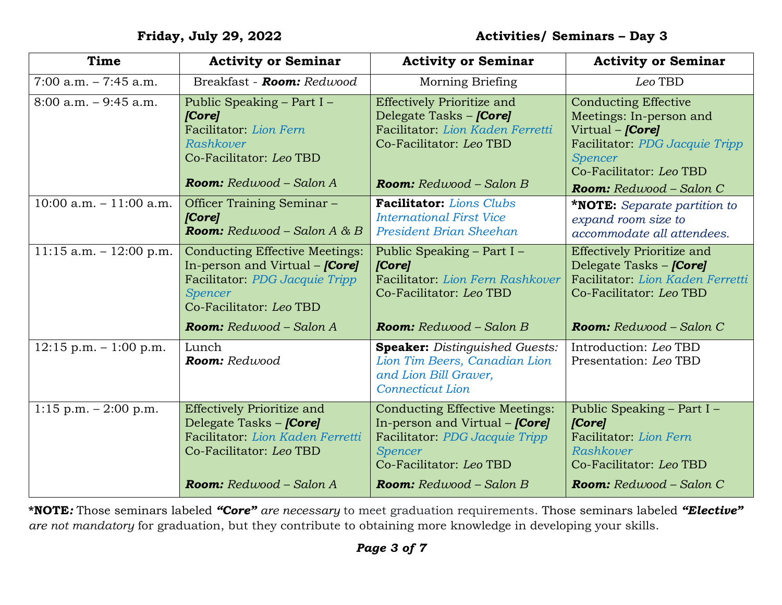| <b>Time</b>               | <b>Activity or Seminar</b>                                                                                                                                      | <b>Activity or Seminar</b>                                                                                                                                             | <b>Activity or Seminar</b>                                                                                                                                                                  |
|---------------------------|-----------------------------------------------------------------------------------------------------------------------------------------------------------------|------------------------------------------------------------------------------------------------------------------------------------------------------------------------|---------------------------------------------------------------------------------------------------------------------------------------------------------------------------------------------|
| $7:00$ a.m. $-7:45$ a.m.  | Breakfast - <b>Room:</b> Redwood                                                                                                                                | Morning Briefing                                                                                                                                                       | Leo TBD                                                                                                                                                                                     |
| $8:00$ a.m. $-9:45$ a.m.  | Public Speaking - Part I -<br>[Core]<br>Facilitator: Lion Fern<br>Rashkover<br>Co-Facilitator: Leo TBD<br><b>Room:</b> $Redwood - Salon A$                      | <b>Effectively Prioritize and</b><br>Delegate Tasks – <i>[Core]</i><br>Facilitator: Lion Kaden Ferretti<br>Co-Facilitator: Leo TBD<br><b>Room:</b> $Redwood - Salon B$ | <b>Conducting Effective</b><br>Meetings: In-person and<br>Virtual – <i>[Core]</i><br>Facilitator: PDG Jacquie Tripp<br><b>Spencer</b><br>Co-Facilitator: Leo TBD<br>Room: Redwood - Salon C |
| 10:00 a.m. $-11:00$ a.m.  | Officer Training Seminar -<br>[Core]<br><b>Room:</b> Redwood – Salon A & B                                                                                      | Facilitator: Lions Clubs<br><b>International First Vice</b><br><b>President Brian Sheehan</b>                                                                          | <b>*NOTE:</b> Separate partition to<br>expand room size to<br>accommodate all attendees.                                                                                                    |
| 11:15 a.m. $-$ 12:00 p.m. | <b>Conducting Effective Meetings:</b><br>In-person and Virtual $-$ <i>[Core]</i><br>Facilitator: PDG Jacquie Tripp<br><b>Spencer</b><br>Co-Facilitator: Leo TBD | Public Speaking – Part I –<br>[Core]<br>Facilitator: Lion Fern Rashkover<br>Co-Facilitator: Leo TBD                                                                    | <b>Effectively Prioritize and</b><br>Delegate Tasks – <i>[Core]</i><br>Facilitator: Lion Kaden Ferretti<br>Co-Facilitator: Leo TBD                                                          |
|                           | <b>Room:</b> Redwood - Salon A                                                                                                                                  | <b>Room:</b> $Redwood - Salon B$                                                                                                                                       | <b>Room:</b> $Redwood - Salon C$                                                                                                                                                            |
| $12:15$ p.m. $-1:00$ p.m. | Lunch<br>Room: Redwood                                                                                                                                          | <b>Speaker:</b> Distinguished Guests:<br>Lion Tim Beers, Canadian Lion<br>and Lion Bill Graver,<br><b>Connecticut Lion</b>                                             | Introduction: Leo TBD<br>Presentation: Leo TBD                                                                                                                                              |
| $1:15$ p.m. $-2:00$ p.m.  | <b>Effectively Prioritize and</b><br>Delegate Tasks – <i>[Core]</i><br>Facilitator: Lion Kaden Ferretti<br>Co-Facilitator: Leo TBD                              | <b>Conducting Effective Meetings:</b><br>In-person and Virtual – <i>[Core]</i><br>Facilitator: PDG Jacquie Tripp<br><b>Spencer</b><br>Co-Facilitator: Leo TBD          | Public Speaking – Part I –<br>[Core]<br>Facilitator: Lion Fern<br>Rashkover<br>Co-Facilitator: Leo TBD                                                                                      |
|                           | <b>Room:</b> Redwood – Salon A                                                                                                                                  | <b>Room:</b> $Redwood - Salon B$                                                                                                                                       | <b>Room:</b> $Redwood - Salon C$                                                                                                                                                            |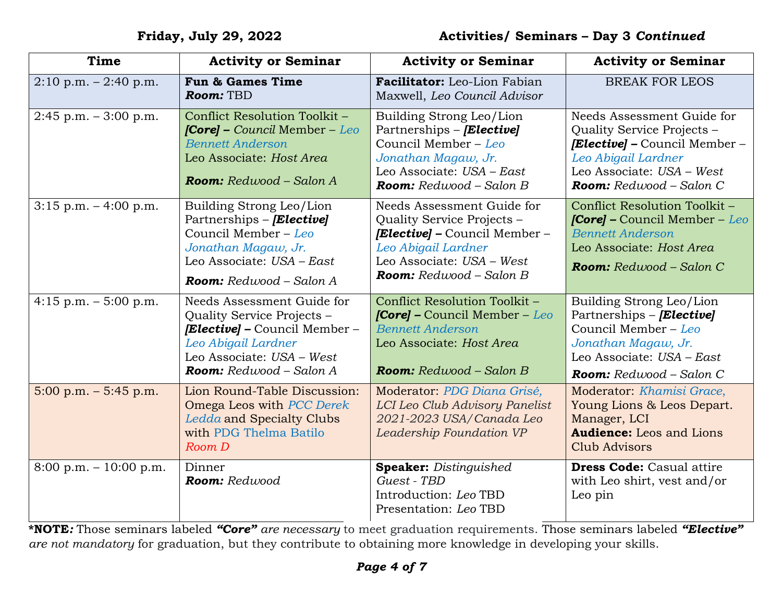| <b>Time</b>                             | <b>Activity or Seminar</b>                                                                                                                                               | <b>Activity or Seminar</b>                                                                                                                                                               | <b>Activity or Seminar</b>                                                                                                                                                      |
|-----------------------------------------|--------------------------------------------------------------------------------------------------------------------------------------------------------------------------|------------------------------------------------------------------------------------------------------------------------------------------------------------------------------------------|---------------------------------------------------------------------------------------------------------------------------------------------------------------------------------|
| $2:10 \text{ p.m.} - 2:40 \text{ p.m.}$ | <b>Fun &amp; Games Time</b><br>Room: TBD                                                                                                                                 | Facilitator: Leo-Lion Fabian<br>Maxwell, Leo Council Advisor                                                                                                                             | <b>BREAK FOR LEOS</b>                                                                                                                                                           |
| $2:45$ p.m. $-3:00$ p.m.                | Conflict Resolution Toolkit -<br><b>[Core]</b> – Council Member – Leo<br><b>Bennett Anderson</b><br>Leo Associate: Host Area<br><b>Room:</b> $Redwood - Salon A$         | Building Strong Leo/Lion<br>Partnerships – [Elective]<br>Council Member - Leo<br>Jonathan Magaw, Jr.<br>Leo Associate: USA - East<br><b>Room:</b> $Redwood - Salon B$                    | Needs Assessment Guide for<br>Quality Service Projects -<br><b>[Elective]</b> – Council Member –<br>Leo Abigail Lardner<br>Leo Associate: USA - West<br>Room: Redwood - Salon C |
| $3:15$ p.m. $-4:00$ p.m.                | Building Strong Leo/Lion<br>Partnerships - [Elective]<br>Council Member - Leo<br>Jonathan Magaw, Jr.<br>Leo Associate: USA - East<br><b>Room:</b> $Redwood - Salon A$    | Needs Assessment Guide for<br>Quality Service Projects -<br><b>[Elective]</b> – Council Member –<br>Leo Abigail Lardner<br>Leo Associate: USA - West<br><b>Room:</b> $Redwood - Salon B$ | Conflict Resolution Toolkit -<br><b>[Core]</b> – Council Member – Leo<br><b>Bennett Anderson</b><br>Leo Associate: Host Area<br><b>Room:</b> Redwood - Salon C                  |
| 4:15 p.m. $-$ 5:00 p.m.                 | Needs Assessment Guide for<br>Quality Service Projects -<br>[Elective] - Council Member -<br>Leo Abigail Lardner<br>Leo Associate: USA - West<br>Room: Redwood - Salon A | Conflict Resolution Toolkit -<br><b>[Core]</b> – Council Member – Leo<br><b>Bennett Anderson</b><br>Leo Associate: Host Area<br><b>Room:</b> $Redwood - Salon B$                         | Building Strong Leo/Lion<br>Partnerships – [Elective]<br>Council Member - Leo<br>Jonathan Magaw, Jr.<br>Leo Associate: USA - East<br>Room: Redwood - Salon C                    |
| $5:00$ p.m. $-5:45$ p.m.                | Lion Round-Table Discussion:<br>Omega Leos with PCC Derek<br><b>Ledda and Specialty Clubs</b><br>with PDG Thelma Batilo<br>Room D                                        | Moderator: PDG Diana Grisé,<br>LCI Leo Club Advisory Panelist<br>2021-2023 USA/Canada Leo<br>Leadership Foundation VP                                                                    | Moderator: Khamisi Grace,<br>Young Lions & Leos Depart.<br>Manager, LCI<br><b>Audience:</b> Leos and Lions<br><b>Club Advisors</b>                                              |
| 8:00 p.m. $-10:00$ p.m.                 | Dinner<br>Room: Redwood                                                                                                                                                  | <b>Speaker:</b> Distinguished<br>Guest - TBD<br>Introduction: Leo TBD<br>Presentation: Leo TBD                                                                                           | <b>Dress Code:</b> Casual attire<br>with Leo shirt, vest and/or<br>Leo pin                                                                                                      |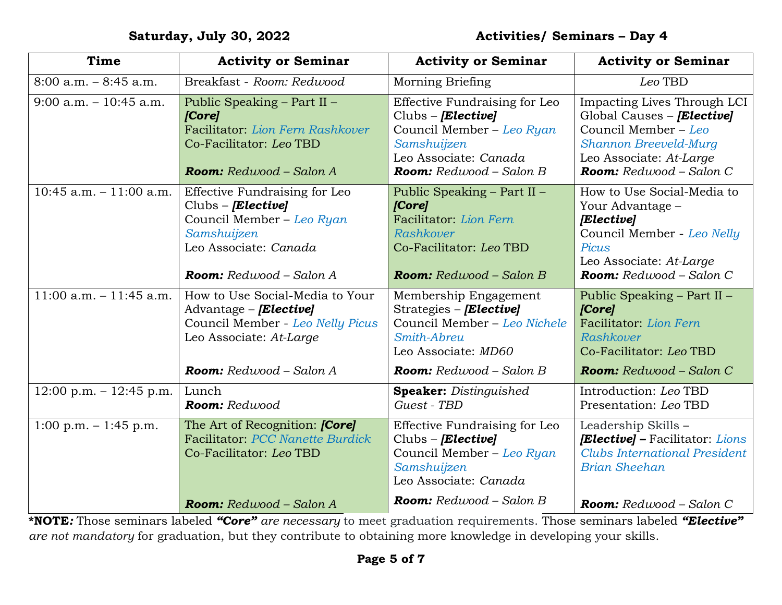| Time                       | <b>Activity or Seminar</b>                                                                                                                                 | <b>Activity or Seminar</b>                                                                                                                          | <b>Activity or Seminar</b>                                                                                                                                                |
|----------------------------|------------------------------------------------------------------------------------------------------------------------------------------------------------|-----------------------------------------------------------------------------------------------------------------------------------------------------|---------------------------------------------------------------------------------------------------------------------------------------------------------------------------|
| $8:00$ a.m. $-8:45$ a.m.   | Breakfast - Room: Redwood                                                                                                                                  | <b>Morning Briefing</b>                                                                                                                             | Leo TBD                                                                                                                                                                   |
| $9:00$ a.m. $-10:45$ a.m.  | Public Speaking - Part II -<br>[Core]<br>Facilitator: Lion Fern Rashkover<br>Co-Facilitator: Leo TBD<br>Room: Redwood - Salon A                            | Effective Fundraising for Leo<br>Clubs - [Elective]<br>Council Member - Leo Ryan<br>Samshuijzen<br>Leo Associate: Canada<br>Room: Redwood - Salon B | Impacting Lives Through LCI<br>Global Causes - <i>[Elective]</i><br>Council Member - Leo<br>Shannon Breeveld-Murg<br>Leo Associate: At-Large<br>Room: Redwood - Salon C   |
| 10:45 a.m. $-11:00$ a.m.   | Effective Fundraising for Leo<br>$Clubs - [Elective]$<br>Council Member - Leo Ryan<br>Samshuijzen<br>Leo Associate: Canada<br>Room: Redwood - Salon A      | Public Speaking – Part II –<br>[Core]<br>Facilitator: Lion Fern<br>Rashkover<br>Co-Facilitator: Leo TBD<br><b>Room:</b> $Redwood - Salon B$         | How to Use Social-Media to<br>Your Advantage -<br><b>[Elective]</b><br>Council Member - Leo Nelly<br>Picus<br>Leo Associate: At-Large<br><b>Room:</b> $Redwood - Salon C$ |
| $11:00$ a.m. $-11:45$ a.m. | How to Use Social-Media to Your<br>Advantage – <i>[Elective]</i><br>Council Member - Leo Nelly Picus<br>Leo Associate: At-Large<br>Room: Redwood - Salon A | Membership Engagement<br>Strategies – [Elective]<br>Council Member - Leo Nichele<br>Smith-Abreu<br>Leo Associate: MD60<br>Room: Redwood - Salon B   | Public Speaking - Part II -<br>[Core]<br>Facilitator: Lion Fern<br>Rashkover<br>Co-Facilitator: Leo TBD<br>Room: Redwood - Salon C                                        |
| $12:00$ p.m. $-12:45$ p.m. | Lunch<br>Room: Redwood                                                                                                                                     | <b>Speaker:</b> Distinguished<br>Guest - TBD                                                                                                        | Introduction: Leo TBD<br>Presentation: Leo TBD                                                                                                                            |
| $1:00$ p.m. $-1:45$ p.m.   | The Art of Recognition: <i>[Core]</i><br>Facilitator: PCC Nanette Burdick<br>Co-Facilitator: Leo TBD                                                       | Effective Fundraising for Leo<br>$Clubs - [Elective]$<br>Council Member - Leo Ryan<br>Samshuijzen<br>Leo Associate: Canada                          | Leadership Skills -<br><b>[Elective]</b> – Facilitator: Lions<br><b>Clubs International President</b><br><b>Brian Sheehan</b>                                             |
|                            | <b>Room:</b> Redwood - Salon A                                                                                                                             | <b>Room:</b> $Redwood - Salon B$                                                                                                                    | Room: Redwood - Salon C                                                                                                                                                   |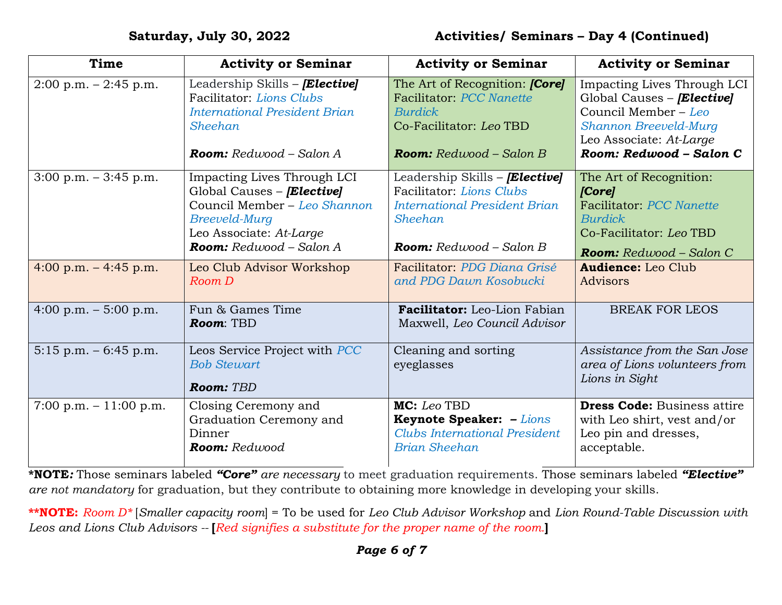| <b>Time</b>                             | <b>Activity or Seminar</b>                                                                                                                                              | <b>Activity or Seminar</b>                                                                                                                               | <b>Activity or Seminar</b>                                                                                                                                              |
|-----------------------------------------|-------------------------------------------------------------------------------------------------------------------------------------------------------------------------|----------------------------------------------------------------------------------------------------------------------------------------------------------|-------------------------------------------------------------------------------------------------------------------------------------------------------------------------|
| $2:00 \text{ p.m.} - 2:45 \text{ p.m.}$ | Leadership Skills - [Elective]<br>Facilitator: Lions Clubs<br><b>International President Brian</b><br>Sheehan<br><b>Room:</b> $Redwood - Salon A$                       | The Art of Recognition: <i>[Core]</i><br>Facilitator: PCC Nanette<br><b>Burdick</b><br>Co-Facilitator: Leo TBD<br><b>Room:</b> $Redwood - Salon B$       | Impacting Lives Through LCI<br>Global Causes – <b>[Elective]</b><br>Council Member - Leo<br>Shannon Breeveld-Murg<br>Leo Associate: At-Large<br>Room: Redwood - Salon C |
| $3:00$ p.m. $-3:45$ p.m.                | Impacting Lives Through LCI<br>Global Causes - <i>[Elective]</i><br>Council Member - Leo Shannon<br>Breeveld-Murg<br>Leo Associate: At-Large<br>Room: Redwood - Salon A | Leadership Skills - <i>[Elective]</i><br>Facilitator: Lions Clubs<br><b>International President Brian</b><br>Sheehan<br><b>Room:</b> $Redwood - Salon B$ | The Art of Recognition:<br>[Core]<br>Facilitator: PCC Nanette<br><b>Burdick</b><br>Co-Facilitator: Leo TBD<br><b>Room:</b> Redwood - Salon C                            |
| 4:00 p.m. $-4:45$ p.m.                  | Leo Club Advisor Workshop<br>Room D                                                                                                                                     | Facilitator: PDG Diana Grisé<br>and PDG Dawn Kosobucki                                                                                                   | <b>Audience:</b> Leo Club<br>Advisors                                                                                                                                   |
| 4:00 p.m. $-5:00$ p.m.                  | Fun & Games Time<br>Room: TBD                                                                                                                                           | <b>Facilitator:</b> Leo-Lion Fabian<br>Maxwell, Leo Council Advisor                                                                                      | <b>BREAK FOR LEOS</b>                                                                                                                                                   |
| $5:15$ p.m. $-6:45$ p.m.                | Leos Service Project with PCC<br><b>Bob Stewart</b><br>Room: TBD                                                                                                        | Cleaning and sorting<br>eyeglasses                                                                                                                       | Assistance from the San Jose<br>area of Lions volunteers from<br>Lions in Sight                                                                                         |
| 7:00 p.m. $-11:00$ p.m.                 | Closing Ceremony and<br>Graduation Ceremony and<br>Dinner<br>Room: Redwood                                                                                              | MC: Leo TBD<br><b>Keynote Speaker:</b> - Lions<br><b>Clubs International President</b><br><b>Brian Sheehan</b>                                           | <b>Dress Code: Business attire</b><br>with Leo shirt, vest and/or<br>Leo pin and dresses,<br>acceptable.                                                                |

**\*\*NOTE:** *Room D\** [*Smaller capacity room*] = To be used for *Leo Club Advisor Workshop* and *Lion Round-Table Discussion with Leos and Lions Club Advisors --* **[***Red signifies a substitute for the proper name of the room.***]**